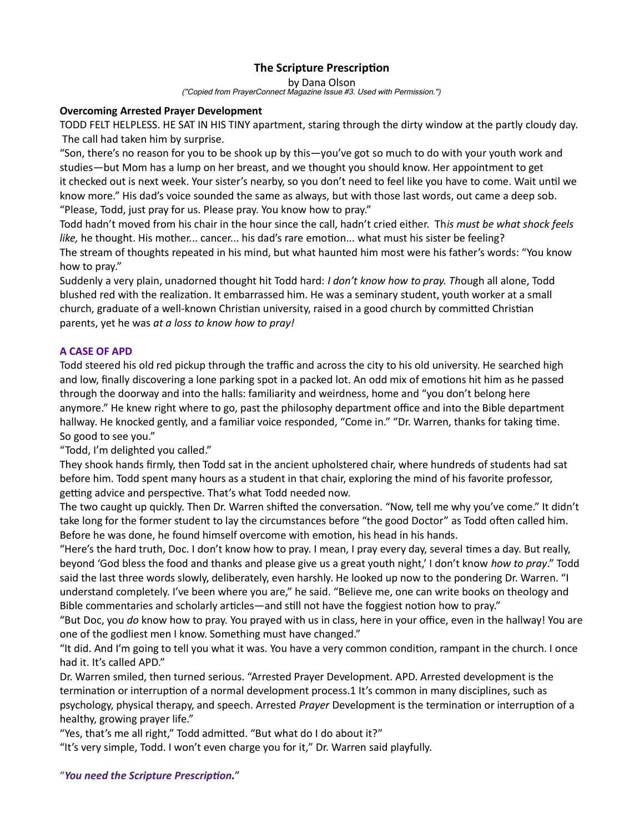## The Scripture Prescription

by Dana Olson

("Copied from PrayerConnect Magazine Issue #3. Used with Permission.")

### Overcoming Arrested Prayer Development

TODD FELT HELPLESS. HE SAT IN HIS TINY apartment, staring through the dirty window at the partly cloudy day. The call had taken him by surprise.

"Son, there's no reason for you to be shook up by this—you've got so much to do with your youth work and studies—but Mom has a lump on her breast, and we thought you should know. Her appointment to get it checked out is next week. Your sister's nearby, so you don't need to feel like you have to come. Wait until we know more." His dad's voice sounded the same as always, but with those last words, out came a deep sob. "Please, Todd, just pray for us. Please pray. You know how to pray."

Todd hadn't moved from his chair in the hour since the call, hadn't cried either. This must be what shock feels like, he thought. His mother... cancer... his dad's rare emotion... what must his sister be feeling? The stream of thoughts repeated in his mind, but what haunted him most were his father's words: "You know how to pray."

Suddenly a very plain, unadorned thought hit Todd hard: I don't know how to pray. Though all alone, Todd blushed red with the realization. It embarrassed him. He was a seminary student, youth worker at a small church, graduate of a well-known Christian university, raised in a good church by committed Christian parents, yet he was at a loss to know how to pray!

### A CASE OF APD

Todd steered his old red pickup through the traffic and across the city to his old university. He searched high and low, finally discovering a lone parking spot in a packed lot. An odd mix of emotions hit him as he passed through the doorway and into the halls: familiarity and weirdness, home and "you don't belong here anymore." He knew right where to go, past the philosophy department office and into the Bible department hallway. He knocked gently, and a familiar voice responded, "Come in." "Dr. Warren, thanks for taking time. So good to see you."

"Todd, I'm delighted you called."

They shook hands firmly, then Todd sat in the ancient upholstered chair, where hundreds of students had sat before him. Todd spent many hours as a student in that chair, exploring the mind of his favorite professor, getting advice and perspective. That's what Todd needed now.

The two caught up quickly. Then Dr. Warren shifted the conversation. "Now, tell me why you've come." It didn't take long for the former student to lay the circumstances before "the good Doctor" as Todd often called him. Before he was done, he found himself overcome with emotion, his head in his hands.

"Here's the hard truth, Doc. I don't know how to pray. I mean, I pray every day, several times a day. But really, beyond 'God bless the food and thanks and please give us a great youth night,' I don't know how to pray." Todd said the last three words slowly, deliberately, even harshly. He looked up now to the pondering Dr. Warren. "I understand completely. I've been where you are," he said. "Believe me, one can write books on theology and Bible commentaries and scholarly articles—and still not have the foggiest notion how to pray."

"But Doc, you do know how to pray. You prayed with us in class, here in your office, even in the hallway! You are one of the godliest men I know. Something must have changed."

"It did. And I'm going to tell you what it was. You have a very common condition, rampant in the church. I once had it. It's called APD."

Dr. Warren smiled, then turned serious. "Arrested Prayer Development. APD. Arrested development is the termination or interruption of a normal development process.1 It's common in many disciplines, such as psychology, physical therapy, and speech. Arrested Prayer Development is the termination or interruption of a healthy, growing prayer life."

"Yes, that's me all right," Todd admitted. "But what do I do about it?"

"It's very simple, Todd. I won't even charge you for it," Dr. Warren said playfully.

"You need the Scripture Prescription."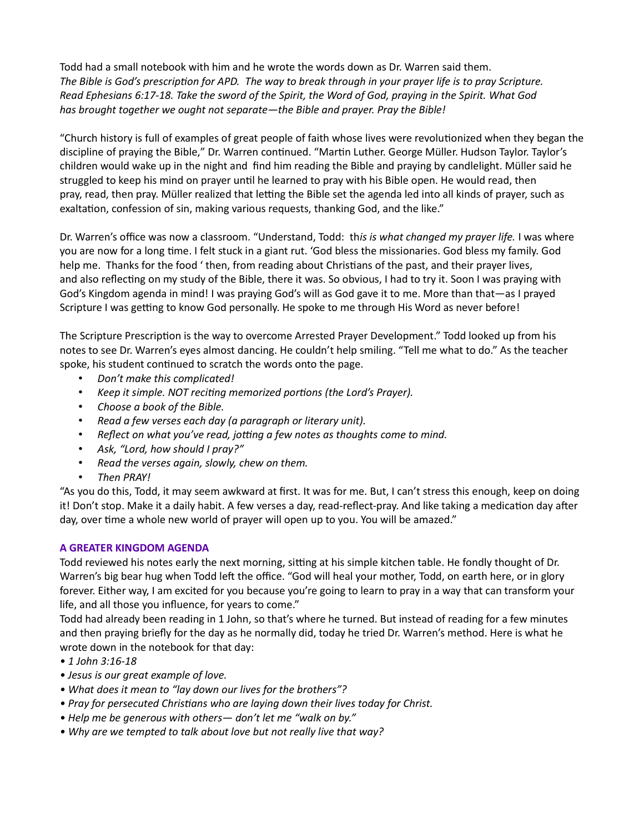Todd had a small notebook with him and he wrote the words down as Dr. Warren said them. The Bible is God's prescription for APD. The way to break through in your prayer life is to pray Scripture. Read Ephesians 6:17-18. Take the sword of the Spirit, the Word of God, praying in the Spirit. What God has brought together we ought not separate—the Bible and prayer. Pray the Bible!

"Church history is full of examples of great people of faith whose lives were revolutionized when they began the discipline of praying the Bible," Dr. Warren continued. "Martin Luther. George Müller. Hudson Taylor. Taylor's children would wake up in the night and find him reading the Bible and praying by candlelight. Müller said he struggled to keep his mind on prayer until he learned to pray with his Bible open. He would read, then pray, read, then pray. Müller realized that letting the Bible set the agenda led into all kinds of prayer, such as exaltation, confession of sin, making various requests, thanking God, and the like."

Dr. Warren's office was now a classroom. "Understand, Todd: this is what changed my prayer life. I was where you are now for a long time. I felt stuck in a giant rut. 'God bless the missionaries. God bless my family. God help me. Thanks for the food 'then, from reading about Christians of the past, and their prayer lives, and also reflecting on my study of the Bible, there it was. So obvious, I had to try it. Soon I was praying with God's Kingdom agenda in mind! I was praying God's will as God gave it to me. More than that—as I prayed Scripture I was getting to know God personally. He spoke to me through His Word as never before!

The Scripture Prescription is the way to overcome Arrested Prayer Development." Todd looked up from his notes to see Dr. Warren's eyes almost dancing. He couldn't help smiling. "Tell me what to do." As the teacher spoke, his student continued to scratch the words onto the page.

- Don't make this complicated!
- Keep it simple. NOT reciting memorized portions (the Lord's Prayer).
- Choose a book of the Bible.
- Read a few verses each day (a paragraph or literary unit).
- Reflect on what you've read, jotting a few notes as thoughts come to mind.
- Ask, "Lord, how should I pray?"
- Read the verses again, slowly, chew on them.
- Then PRAY!

"As you do this, Todd, it may seem awkward at first. It was for me. But, I can't stress this enough, keep on doing it! Don't stop. Make it a daily habit. A few verses a day, read-reflect-pray. And like taking a medication day after day, over time a whole new world of prayer will open up to you. You will be amazed."

#### A GREATER KINGDOM AGENDA

Todd reviewed his notes early the next morning, sitting at his simple kitchen table. He fondly thought of Dr. Warren's big bear hug when Todd left the office. "God will heal your mother, Todd, on earth here, or in glory forever. Either way, I am excited for you because you're going to learn to pray in a way that can transform your life, and all those you influence, for years to come."

Todd had already been reading in 1 John, so that's where he turned. But instead of reading for a few minutes and then praying briefly for the day as he normally did, today he tried Dr. Warren's method. Here is what he wrote down in the notebook for that day:

- 1 John 3:16-18
- Jesus is our great example of love.
- What does it mean to "lay down our lives for the brothers"?
- Pray for persecuted Christians who are laying down their lives today for Christ.
- Help me be generous with others— don't let me "walk on by."
- Why are we tempted to talk about love but not really live that way?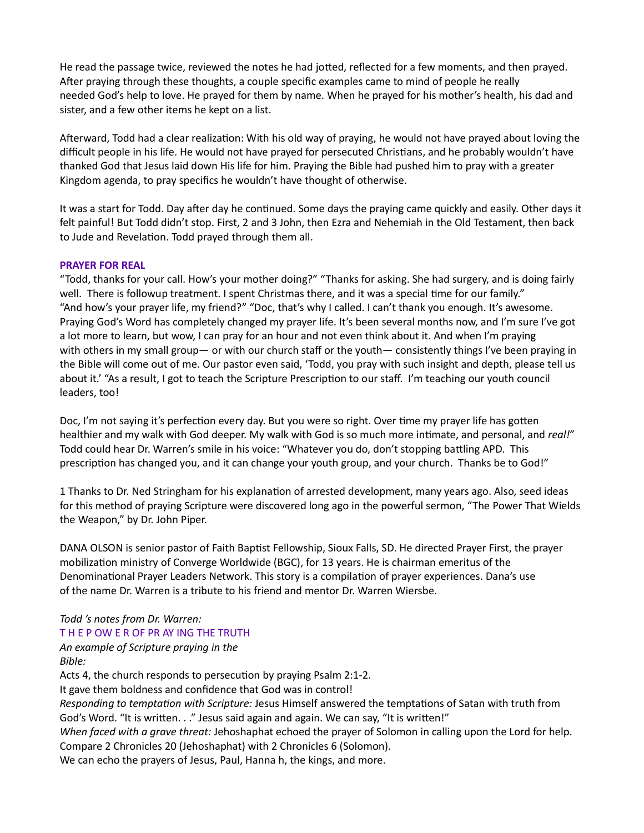He read the passage twice, reviewed the notes he had jotted, reflected for a few moments, and then prayed. After praying through these thoughts, a couple specific examples came to mind of people he really needed God's help to love. He prayed for them by name. When he prayed for his mother's health, his dad and sister, and a few other items he kept on a list.

Afterward, Todd had a clear realization: With his old way of praying, he would not have prayed about loving the difficult people in his life. He would not have prayed for persecuted Christians, and he probably wouldn't have thanked God that Jesus laid down His life for him. Praying the Bible had pushed him to pray with a greater Kingdom agenda, to pray specifics he wouldn't have thought of otherwise.

It was a start for Todd. Day after day he continued. Some days the praying came quickly and easily. Other days it felt painful! But Todd didn't stop. First, 2 and 3 John, then Ezra and Nehemiah in the Old Testament, then back to Jude and Revelation. Todd prayed through them all.

#### PRAYER FOR REAL

"Todd, thanks for your call. How's your mother doing?" "Thanks for asking. She had surgery, and is doing fairly well. There is followup treatment. I spent Christmas there, and it was a special time for our family." "And how's your prayer life, my friend?" "Doc, that's why I called. I can't thank you enough. It's awesome. Praying God's Word has completely changed my prayer life. It's been several months now, and I'm sure I've got a lot more to learn, but wow, I can pray for an hour and not even think about it. And when I'm praying with others in my small group— or with our church staff or the youth— consistently things I've been praying in the Bible will come out of me. Our pastor even said, 'Todd, you pray with such insight and depth, please tell us about it.' "As a result, I got to teach the Scripture Prescription to our staff. I'm teaching our youth council leaders, too!

Doc, I'm not saying it's perfection every day. But you were so right. Over time my prayer life has gotten healthier and my walk with God deeper. My walk with God is so much more intimate, and personal, and real!" Todd could hear Dr. Warren's smile in his voice: "Whatever you do, don't stopping battling APD. This prescription has changed you, and it can change your youth group, and your church. Thanks be to God!"

1 Thanks to Dr. Ned Stringham for his explanation of arrested development, many years ago. Also, seed ideas for this method of praying Scripture were discovered long ago in the powerful sermon, "The Power That Wields the Weapon," by Dr. John Piper.

DANA OLSON is senior pastor of Faith Baptist Fellowship, Sioux Falls, SD. He directed Prayer First, the prayer mobilization ministry of Converge Worldwide (BGC), for 13 years. He is chairman emeritus of the Denominational Prayer Leaders Network. This story is a compilation of prayer experiences. Dana's use of the name Dr. Warren is a tribute to his friend and mentor Dr. Warren Wiersbe.

# Todd 's notes from Dr. Warren:

# T H E P OW E R OF PR AY ING THE TRUTH

An example of Scripture praying in the Bible:

Acts 4, the church responds to persecution by praying Psalm 2:1-2. It gave them boldness and confidence that God was in control! Responding to temptation with Scripture: Jesus Himself answered the temptations of Satan with truth from God's Word. "It is written. . ." Jesus said again and again. We can say, "It is written!" When faced with a grave threat: Jehoshaphat echoed the prayer of Solomon in calling upon the Lord for help. Compare 2 Chronicles 20 (Jehoshaphat) with 2 Chronicles 6 (Solomon). We can echo the prayers of Jesus, Paul, Hanna h, the kings, and more.